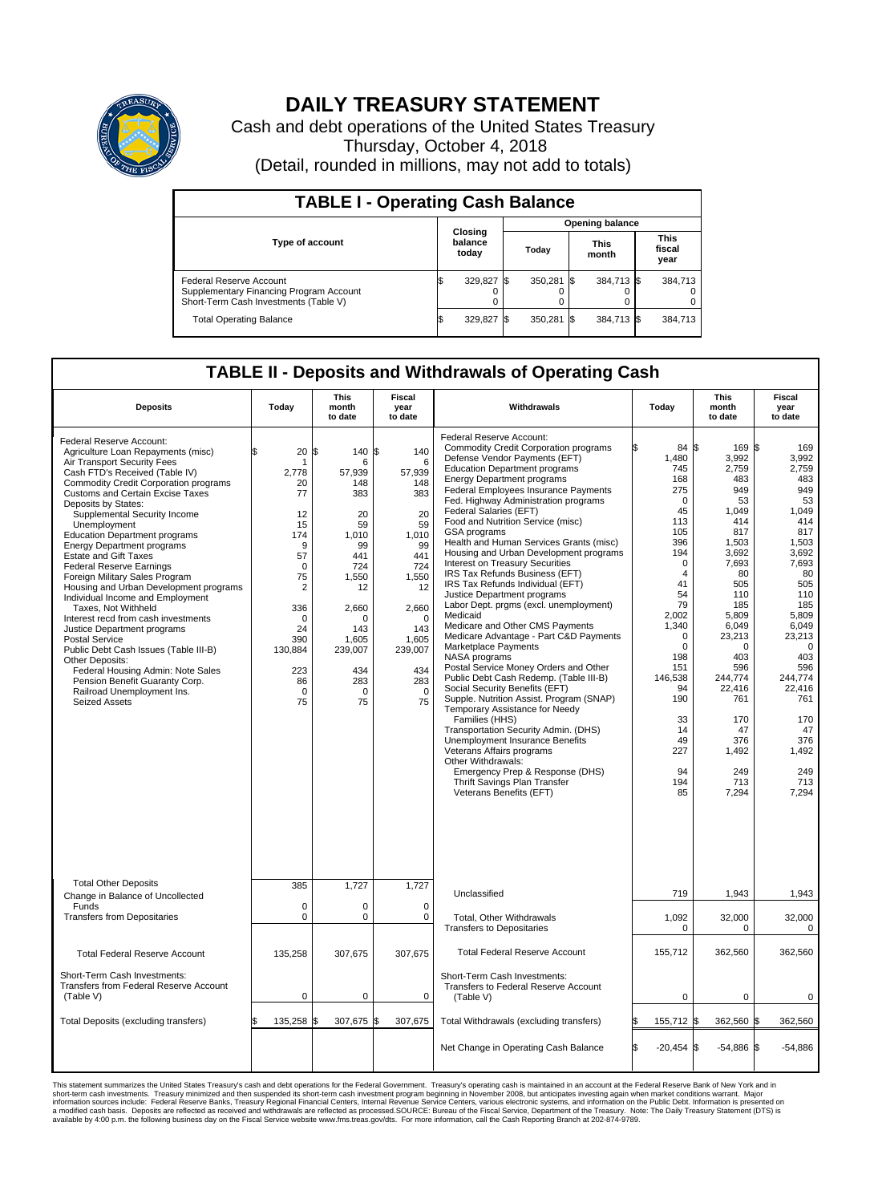

## **DAILY TREASURY STATEMENT**

Cash and debt operations of the United States Treasury Thursday, October 4, 2018 (Detail, rounded in millions, may not add to totals)

| <b>TABLE I - Operating Cash Balance</b>                                                                     |  |                             |                        |              |                      |            |  |                               |  |
|-------------------------------------------------------------------------------------------------------------|--|-----------------------------|------------------------|--------------|----------------------|------------|--|-------------------------------|--|
|                                                                                                             |  |                             | <b>Opening balance</b> |              |                      |            |  |                               |  |
| <b>Type of account</b>                                                                                      |  | Closing<br>balance<br>today | Today                  |              | <b>This</b><br>month |            |  | <b>This</b><br>fiscal<br>year |  |
| Federal Reserve Account<br>Supplementary Financing Program Account<br>Short-Term Cash Investments (Table V) |  | 329,827                     |                        | $350.281$ \$ |                      | 384,713 \$ |  | 384,713                       |  |
| <b>Total Operating Balance</b>                                                                              |  | 329,827                     |                        | 350,281      | 1\$                  | 384,713 \$ |  | 384,713                       |  |

## **TABLE II - Deposits and Withdrawals of Operating Cash**

| <b>Deposits</b>                                                                                                                                                                                                                                                                                                                                                                                                                                                                                                                                                                                                                                                                                                                                                                                                                                                                  | Todav                                                                                                                                                                        | <b>This</b><br>month<br>to date                                                                                                                                                   | Fiscal<br>year<br>to date                                                                                                                                                | Withdrawals                                                                                                                                                                                                                                                                                                                                                                                                                                                                                                                                                                                                                                                                                                                                                                                                                                                                                                                                                                                                                                                                                                                                                                                                                   | Today                                                                                                                                                                                                                                                             | <b>This</b><br>month<br>to date                                                                                                                                                                                                                                    | Fiscal<br>year<br>to date                                                                                                                                                                                                                                       |  |
|----------------------------------------------------------------------------------------------------------------------------------------------------------------------------------------------------------------------------------------------------------------------------------------------------------------------------------------------------------------------------------------------------------------------------------------------------------------------------------------------------------------------------------------------------------------------------------------------------------------------------------------------------------------------------------------------------------------------------------------------------------------------------------------------------------------------------------------------------------------------------------|------------------------------------------------------------------------------------------------------------------------------------------------------------------------------|-----------------------------------------------------------------------------------------------------------------------------------------------------------------------------------|--------------------------------------------------------------------------------------------------------------------------------------------------------------------------|-------------------------------------------------------------------------------------------------------------------------------------------------------------------------------------------------------------------------------------------------------------------------------------------------------------------------------------------------------------------------------------------------------------------------------------------------------------------------------------------------------------------------------------------------------------------------------------------------------------------------------------------------------------------------------------------------------------------------------------------------------------------------------------------------------------------------------------------------------------------------------------------------------------------------------------------------------------------------------------------------------------------------------------------------------------------------------------------------------------------------------------------------------------------------------------------------------------------------------|-------------------------------------------------------------------------------------------------------------------------------------------------------------------------------------------------------------------------------------------------------------------|--------------------------------------------------------------------------------------------------------------------------------------------------------------------------------------------------------------------------------------------------------------------|-----------------------------------------------------------------------------------------------------------------------------------------------------------------------------------------------------------------------------------------------------------------|--|
| Federal Reserve Account:<br>Agriculture Loan Repayments (misc)<br>Air Transport Security Fees<br>Cash FTD's Received (Table IV)<br><b>Commodity Credit Corporation programs</b><br><b>Customs and Certain Excise Taxes</b><br>Deposits by States:<br>Supplemental Security Income<br>Unemployment<br><b>Education Department programs</b><br><b>Energy Department programs</b><br><b>Estate and Gift Taxes</b><br><b>Federal Reserve Earnings</b><br>Foreign Military Sales Program<br>Housing and Urban Development programs<br>Individual Income and Employment<br>Taxes, Not Withheld<br>Interest recd from cash investments<br>Justice Department programs<br><b>Postal Service</b><br>Public Debt Cash Issues (Table III-B)<br>Other Deposits:<br>Federal Housing Admin: Note Sales<br>Pension Benefit Guaranty Corp.<br>Railroad Unemployment Ins.<br><b>Seized Assets</b> | 20<br>\$<br>2.778<br>20<br>77<br>12<br>15<br>174<br>9<br>57<br>$\mathbf 0$<br>75<br>$\overline{2}$<br>336<br>$\Omega$<br>24<br>390<br>130,884<br>223<br>86<br>$\Omega$<br>75 | \$<br>140 \$<br>6<br>57,939<br>148<br>383<br>20<br>59<br>1,010<br>99<br>441<br>724<br>1,550<br>12<br>2,660<br>$\Omega$<br>143<br>1,605<br>239,007<br>434<br>283<br>$\Omega$<br>75 | 140<br>6<br>57.939<br>148<br>383<br>20<br>59<br>1,010<br>99<br>441<br>724<br>1,550<br>12<br>2,660<br>$\Omega$<br>143<br>1,605<br>239,007<br>434<br>283<br>$\Omega$<br>75 | Federal Reserve Account:<br><b>Commodity Credit Corporation programs</b><br>Defense Vendor Payments (EFT)<br><b>Education Department programs</b><br><b>Energy Department programs</b><br><b>Federal Employees Insurance Payments</b><br>Fed. Highway Administration programs<br>Federal Salaries (EFT)<br>Food and Nutrition Service (misc)<br>GSA programs<br>Health and Human Services Grants (misc)<br>Housing and Urban Development programs<br>Interest on Treasury Securities<br>IRS Tax Refunds Business (EFT)<br>IRS Tax Refunds Individual (EFT)<br>Justice Department programs<br>Labor Dept. prgms (excl. unemployment)<br>Medicaid<br>Medicare and Other CMS Payments<br>Medicare Advantage - Part C&D Payments<br>Marketplace Payments<br>NASA programs<br>Postal Service Money Orders and Other<br>Public Debt Cash Redemp. (Table III-B)<br>Social Security Benefits (EFT)<br>Supple. Nutrition Assist. Program (SNAP)<br>Temporary Assistance for Needy<br>Families (HHS)<br>Transportation Security Admin. (DHS)<br><b>Unemployment Insurance Benefits</b><br>Veterans Affairs programs<br>Other Withdrawals:<br>Emergency Prep & Response (DHS)<br>Thrift Savings Plan Transfer<br>Veterans Benefits (EFT) | 84 \$<br>1,480<br>745<br>168<br>275<br>$\mathbf 0$<br>45<br>113<br>105<br>396<br>194<br>$\Omega$<br>$\overline{4}$<br>41<br>54<br>79<br>2.002<br>1,340<br>$\Omega$<br>$\pmb{0}$<br>198<br>151<br>146,538<br>94<br>190<br>33<br>14<br>49<br>227<br>94<br>194<br>85 | $169$ $\sqrt{3}$<br>3,992<br>2,759<br>483<br>949<br>53<br>1,049<br>414<br>817<br>1,503<br>3,692<br>7,693<br>80<br>505<br>110<br>185<br>5,809<br>6,049<br>23,213<br>0<br>403<br>596<br>244,774<br>22,416<br>761<br>170<br>47<br>376<br>1,492<br>249<br>713<br>7,294 | 169<br>3,992<br>2,759<br>483<br>949<br>53<br>1,049<br>414<br>817<br>1,503<br>3,692<br>7,693<br>80<br>505<br>110<br>185<br>5.809<br>6,049<br>23,213<br>$\mathbf 0$<br>403<br>596<br>244,774<br>22,416<br>761<br>170<br>47<br>376<br>1,492<br>249<br>713<br>7,294 |  |
| <b>Total Other Deposits</b><br>Change in Balance of Uncollected                                                                                                                                                                                                                                                                                                                                                                                                                                                                                                                                                                                                                                                                                                                                                                                                                  | 385                                                                                                                                                                          | 1,727                                                                                                                                                                             | 1,727                                                                                                                                                                    | Unclassified                                                                                                                                                                                                                                                                                                                                                                                                                                                                                                                                                                                                                                                                                                                                                                                                                                                                                                                                                                                                                                                                                                                                                                                                                  | 719                                                                                                                                                                                                                                                               | 1,943                                                                                                                                                                                                                                                              | 1,943                                                                                                                                                                                                                                                           |  |
| Funds<br><b>Transfers from Depositaries</b>                                                                                                                                                                                                                                                                                                                                                                                                                                                                                                                                                                                                                                                                                                                                                                                                                                      | $\mathbf 0$<br>$\mathbf 0$                                                                                                                                                   | 0<br>0                                                                                                                                                                            | 0<br>$\mathbf 0$                                                                                                                                                         | Total, Other Withdrawals<br><b>Transfers to Depositaries</b>                                                                                                                                                                                                                                                                                                                                                                                                                                                                                                                                                                                                                                                                                                                                                                                                                                                                                                                                                                                                                                                                                                                                                                  | 1,092<br>0                                                                                                                                                                                                                                                        | 32,000<br>$\Omega$                                                                                                                                                                                                                                                 | 32,000<br>0                                                                                                                                                                                                                                                     |  |
| <b>Total Federal Reserve Account</b>                                                                                                                                                                                                                                                                                                                                                                                                                                                                                                                                                                                                                                                                                                                                                                                                                                             | 135,258                                                                                                                                                                      | 307,675                                                                                                                                                                           | 307,675                                                                                                                                                                  | <b>Total Federal Reserve Account</b>                                                                                                                                                                                                                                                                                                                                                                                                                                                                                                                                                                                                                                                                                                                                                                                                                                                                                                                                                                                                                                                                                                                                                                                          | 155.712                                                                                                                                                                                                                                                           | 362,560                                                                                                                                                                                                                                                            | 362.560                                                                                                                                                                                                                                                         |  |
| Short-Term Cash Investments:<br>Transfers from Federal Reserve Account<br>(Table V)                                                                                                                                                                                                                                                                                                                                                                                                                                                                                                                                                                                                                                                                                                                                                                                              | $\mathbf 0$                                                                                                                                                                  | 0                                                                                                                                                                                 | 0                                                                                                                                                                        | Short-Term Cash Investments:<br><b>Transfers to Federal Reserve Account</b><br>(Table V)                                                                                                                                                                                                                                                                                                                                                                                                                                                                                                                                                                                                                                                                                                                                                                                                                                                                                                                                                                                                                                                                                                                                      | $\mathbf 0$                                                                                                                                                                                                                                                       | $\mathbf 0$                                                                                                                                                                                                                                                        | 0                                                                                                                                                                                                                                                               |  |
| Total Deposits (excluding transfers)                                                                                                                                                                                                                                                                                                                                                                                                                                                                                                                                                                                                                                                                                                                                                                                                                                             | 135,258<br>\$.                                                                                                                                                               | l\$<br>307,675                                                                                                                                                                    | 307,675<br>ß.                                                                                                                                                            | Total Withdrawals (excluding transfers)                                                                                                                                                                                                                                                                                                                                                                                                                                                                                                                                                                                                                                                                                                                                                                                                                                                                                                                                                                                                                                                                                                                                                                                       | 155,712 \$                                                                                                                                                                                                                                                        | 362,560 \$                                                                                                                                                                                                                                                         | 362,560                                                                                                                                                                                                                                                         |  |
|                                                                                                                                                                                                                                                                                                                                                                                                                                                                                                                                                                                                                                                                                                                                                                                                                                                                                  |                                                                                                                                                                              |                                                                                                                                                                                   |                                                                                                                                                                          | Net Change in Operating Cash Balance                                                                                                                                                                                                                                                                                                                                                                                                                                                                                                                                                                                                                                                                                                                                                                                                                                                                                                                                                                                                                                                                                                                                                                                          | l\$<br>$-20,454$ \$                                                                                                                                                                                                                                               | $-54,886$ \$                                                                                                                                                                                                                                                       | $-54,886$                                                                                                                                                                                                                                                       |  |

This statement summarizes the United States Treasury's cash and debt operations for the Federal Government. Treasury's operating in November 2008, but anticingates investment summarket conditions warrant. Major<br>short-term